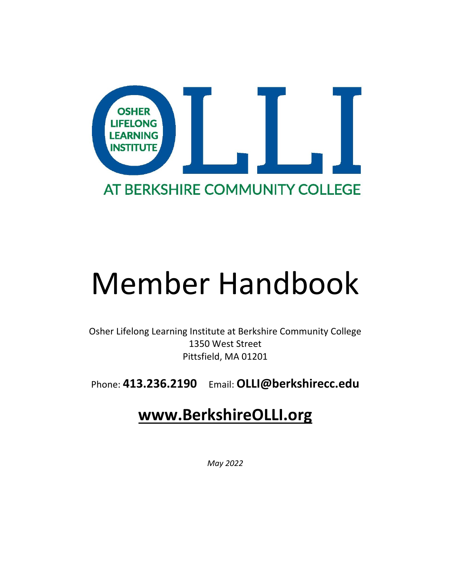

# Member Handbook

Osher Lifelong Learning Institute at Berkshire Community College 1350 West Street Pittsfield, MA 01201

Phone: **413.236.2190** Email: **OLLI@berkshirecc.edu**

# **www.BerkshireOLLI.org**

*May 2022*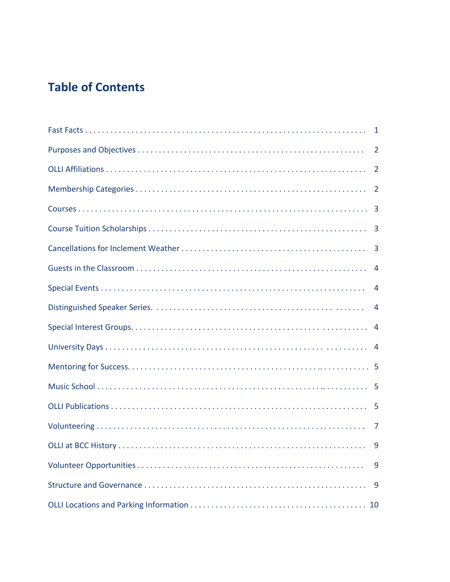# **Table of Contents**

| 1              |
|----------------|
| $\overline{2}$ |
| $\overline{2}$ |
|                |
|                |
|                |
| $\overline{3}$ |
| $\overline{4}$ |
| 4              |
| 4              |
|                |
|                |
|                |
|                |
|                |
| $\overline{7}$ |
| 9              |
| 9              |
|                |
|                |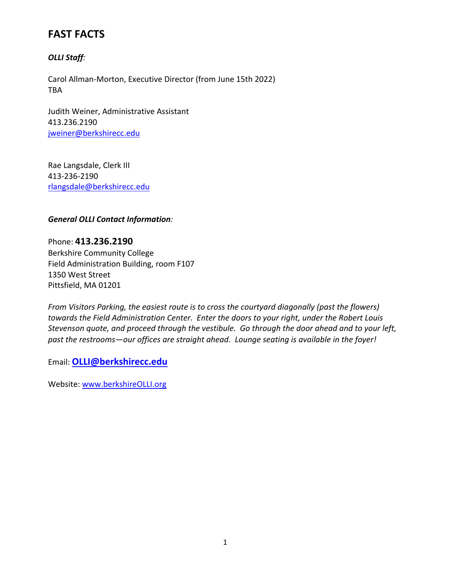# **FAST FACTS**

# *OLLI Staff:*

Carol Allman-Morton, Executive Director (from June 15th 2022) TBA

Judith Weiner, Administrative Assistant 413.236.2190 jweiner@berkshirecc.edu

Rae Langsdale, Clerk III 413-236-2190 rlangsdale@berkshirecc.edu

*General OLLI Contact Information:*

Phone: **413.236.2190** Berkshire Community College Field Administration Building, room F107 1350 West Street Pittsfield, MA 01201

*From Visitors Parking, the easiest route is to cross the courtyard diagonally (past the flowers) towards the Field Administration Center. Enter the doors to your right, under the Robert Louis Stevenson quote, and proceed through the vestibule. Go through the door ahead and to your left, past the restrooms—our offices are straight ahead. Lounge seating is available in the foyer!*

Email: **OLLI@berkshirecc.edu**

Website: www.berkshireOLLI.org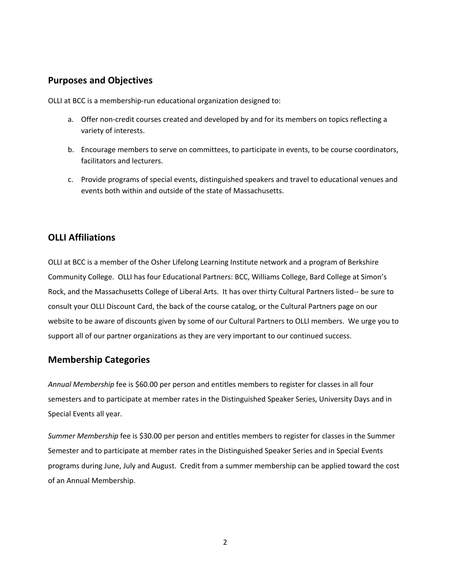# **Purposes and Objectives**

OLLI at BCC is a membership-run educational organization designed to:

- a. Offer non-credit courses created and developed by and for its members on topics reflecting a variety of interests.
- b. Encourage members to serve on committees, to participate in events, to be course coordinators, facilitators and lecturers.
- c. Provide programs of special events, distinguished speakers and travel to educational venues and events both within and outside of the state of Massachusetts.

# **OLLI Affiliations**

OLLI at BCC is a member of the Osher Lifelong Learning Institute network and a program of Berkshire Community College. OLLI has four Educational Partners: BCC, Williams College, Bard College at Simon's Rock, and the Massachusetts College of Liberal Arts. It has over thirty Cultural Partners listed-- be sure to consult your OLLI Discount Card, the back of the course catalog, or the Cultural Partners page on our website to be aware of discounts given by some of our Cultural Partners to OLLI members. We urge you to support all of our partner organizations as they are very important to our continued success.

# **Membership Categories**

*Annual Membership* fee is \$60.00 per person and entitles members to register for classes in all four semesters and to participate at member rates in the Distinguished Speaker Series, University Days and in Special Events all year.

*Summer Membership* fee is \$30.00 per person and entitles members to register for classes in the Summer Semester and to participate at member rates in the Distinguished Speaker Series and in Special Events programs during June, July and August. Credit from a summer membership can be applied toward the cost of an Annual Membership.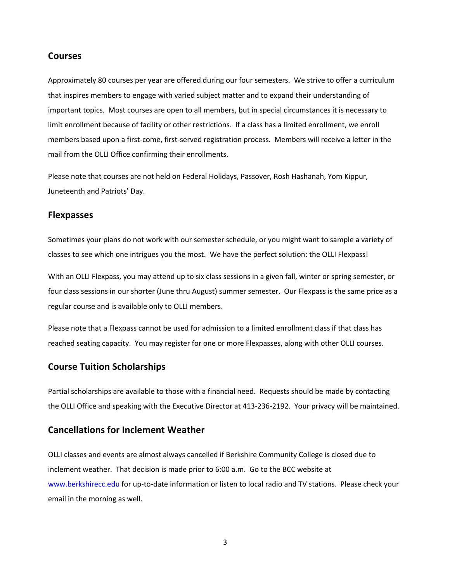#### **Courses**

Approximately 80 courses per year are offered during our four semesters. We strive to offer a curriculum that inspires members to engage with varied subject matter and to expand their understanding of important topics. Most courses are open to all members, but in special circumstances it is necessary to limit enrollment because of facility or other restrictions. If a class has a limited enrollment, we enroll members based upon a first-come, first-served registration process. Members will receive a letter in the mail from the OLLI Office confirming their enrollments.

Please note that courses are not held on Federal Holidays, Passover, Rosh Hashanah, Yom Kippur, Juneteenth and Patriots' Day.

#### **Flexpasses**

Sometimes your plans do not work with our semester schedule, or you might want to sample a variety of classes to see which one intrigues you the most. We have the perfect solution: the OLLI Flexpass!

With an OLLI Flexpass, you may attend up to six class sessions in a given fall, winter or spring semester, or four class sessions in our shorter (June thru August) summer semester. Our Flexpass is the same price as a regular course and is available only to OLLI members.

Please note that a Flexpass cannot be used for admission to a limited enrollment class if that class has reached seating capacity. You may register for one or more Flexpasses, along with other OLLI courses.

## **Course Tuition Scholarships**

Partial scholarships are available to those with a financial need. Requests should be made by contacting the OLLI Office and speaking with the Executive Director at 413-236-2192. Your privacy will be maintained.

## **Cancellations for Inclement Weather**

OLLI classes and events are almost always cancelled if Berkshire Community College is closed due to inclement weather. That decision is made prior to 6:00 a.m. Go to the BCC website at www.berkshirecc.edu for up-to-date information or listen to local radio and TV stations. Please check your email in the morning as well.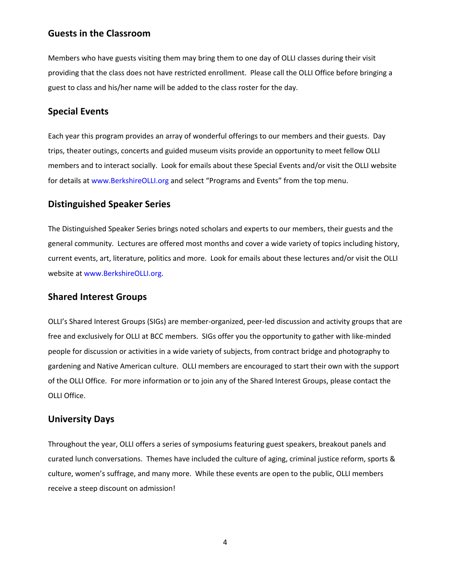## **Guests in the Classroom**

Members who have guests visiting them may bring them to one day of OLLI classes during their visit providing that the class does not have restricted enrollment. Please call the OLLI Office before bringing a guest to class and his/her name will be added to the class roster for the day.

## **Special Events**

Each year this program provides an array of wonderful offerings to our members and their guests. Day trips, theater outings, concerts and guided museum visits provide an opportunity to meet fellow OLLI members and to interact socially. Look for emails about these Special Events and/or visit the OLLI website for details at www.BerkshireOLLI.org and select "Programs and Events" from the top menu.

#### **Distinguished Speaker Series**

The Distinguished Speaker Series brings noted scholars and experts to our members, their guests and the general community. Lectures are offered most months and cover a wide variety of topics including history, current events, art, literature, politics and more. Look for emails about these lectures and/or visit the OLLI website at www.BerkshireOLLI.org.

#### **Shared Interest Groups**

OLLI's Shared Interest Groups (SIGs) are member-organized, peer-led discussion and activity groups that are free and exclusively for OLLI at BCC members. SIGs offer you the opportunity to gather with like-minded people for discussion or activities in a wide variety of subjects, from contract bridge and photography to gardening and Native American culture. OLLI members are encouraged to start their own with the support of the OLLI Office. For more information or to join any of the Shared Interest Groups, please contact the OLLI Office.

#### **University Days**

Throughout the year, OLLI offers a series of symposiums featuring guest speakers, breakout panels and curated lunch conversations. Themes have included the culture of aging, criminal justice reform, sports & culture, women's suffrage, and many more. While these events are open to the public, OLLI members receive a steep discount on admission!

4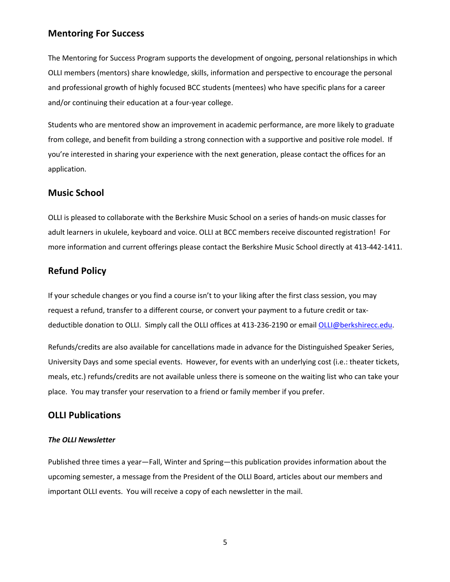# **Mentoring For Success**

The Mentoring for Success Program supports the development of ongoing, personal relationships in which OLLI members (mentors) share knowledge, skills, information and perspective to encourage the personal and professional growth of highly focused BCC students (mentees) who have specific plans for a career and/or continuing their education at a four-year college.

Students who are mentored show an improvement in academic performance, are more likely to graduate from college, and benefit from building a strong connection with a supportive and positive role model. If you're interested in sharing your experience with the next generation, please contact the offices for an application.

#### **Music School**

OLLI is pleased to collaborate with the Berkshire Music School on a series of hands-on music classes for adult learners in ukulele, keyboard and voice. OLLI at BCC members receive discounted registration! For more information and current offerings please contact the Berkshire Music School directly at 413-442-1411.

## **Refund Policy**

If your schedule changes or you find a course isn't to your liking after the first class session, you may request a refund, transfer to a different course, or convert your payment to a future credit or taxdeductible donation to OLLI. Simply call the OLLI offices at 413-236-2190 or email OLLI@berkshirecc.edu.

Refunds/credits are also available for cancellations made in advance for the Distinguished Speaker Series, University Days and some special events. However, for events with an underlying cost (i.e.: theater tickets, meals, etc.) refunds/credits are not available unless there is someone on the waiting list who can take your place. You may transfer your reservation to a friend or family member if you prefer.

# **OLLI Publications**

#### *The OLLI Newsletter*

Published three times a year—Fall, Winter and Spring—this publication provides information about the upcoming semester, a message from the President of the OLLI Board, articles about our members and important OLLI events. You will receive a copy of each newsletter in the mail.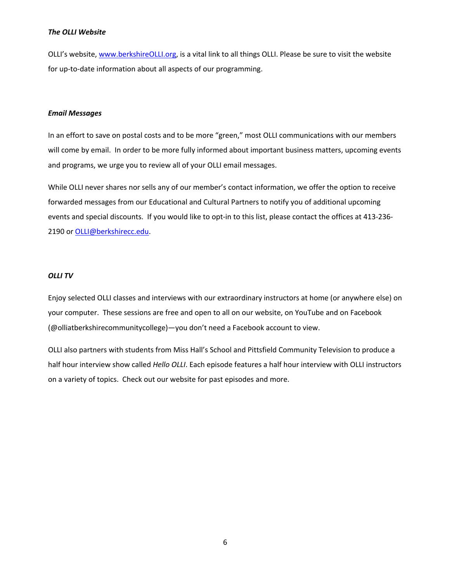#### *The OLLI Website*

OLLI's website, www.berkshireOLLI.org, is a vital link to all things OLLI. Please be sure to visit the website for up-to-date information about all aspects of our programming.

#### *Email Messages*

In an effort to save on postal costs and to be more "green," most OLLI communications with our members will come by email. In order to be more fully informed about important business matters, upcoming events and programs, we urge you to review all of your OLLI email messages.

While OLLI never shares nor sells any of our member's contact information, we offer the option to receive forwarded messages from our Educational and Cultural Partners to notify you of additional upcoming events and special discounts. If you would like to opt-in to this list, please contact the offices at 413-236- 2190 or OLLI@berkshirecc.edu.

#### *OLLI TV*

Enjoy selected OLLI classes and interviews with our extraordinary instructors at home (or anywhere else) on your computer. These sessions are free and open to all on our website, on YouTube and on Facebook (@olliatberkshirecommunitycollege)—you don't need a Facebook account to view.

OLLI also partners with students from Miss Hall's School and Pittsfield Community Television to produce a half hour interview show called *Hello OLLI*. Each episode features a half hour interview with OLLI instructors on a variety of topics. Check out our website for past episodes and more.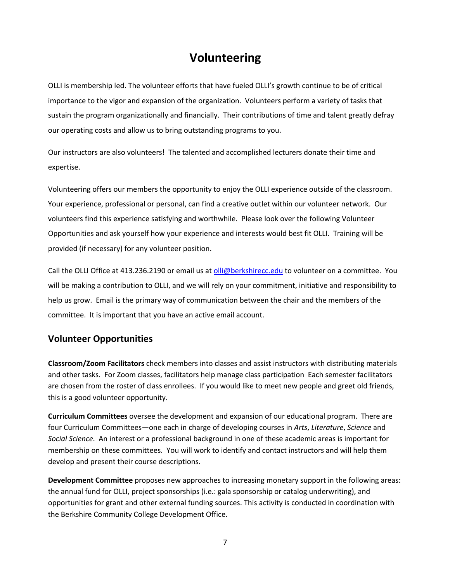# **Volunteering**

OLLI is membership led. The volunteer efforts that have fueled OLLI's growth continue to be of critical importance to the vigor and expansion of the organization. Volunteers perform a variety of tasks that sustain the program organizationally and financially. Their contributions of time and talent greatly defray our operating costs and allow us to bring outstanding programs to you.

Our instructors are also volunteers! The talented and accomplished lecturers donate their time and expertise.

Volunteering offers our members the opportunity to enjoy the OLLI experience outside of the classroom. Your experience, professional or personal, can find a creative outlet within our volunteer network. Our volunteers find this experience satisfying and worthwhile. Please look over the following Volunteer Opportunities and ask yourself how your experience and interests would best fit OLLI. Training will be provided (if necessary) for any volunteer position.

Call the OLLI Office at 413.236.2190 or email us at olli@berkshirecc.edu to volunteer on a committee. You will be making a contribution to OLLI, and we will rely on your commitment, initiative and responsibility to help us grow. Email is the primary way of communication between the chair and the members of the committee. It is important that you have an active email account.

# **Volunteer Opportunities**

**Classroom/Zoom Facilitators** check members into classes and assist instructors with distributing materials and other tasks. For Zoom classes, facilitators help manage class participation Each semester facilitators are chosen from the roster of class enrollees. If you would like to meet new people and greet old friends, this is a good volunteer opportunity.

**Curriculum Committees** oversee the development and expansion of our educational program. There are four Curriculum Committees—one each in charge of developing courses in *Arts*, *Literature*, *Science* and *Social Science*. An interest or a professional background in one of these academic areas is important for membership on these committees. You will work to identify and contact instructors and will help them develop and present their course descriptions.

**Development Committee** proposes new approaches to increasing monetary support in the following areas: the annual fund for OLLI, project sponsorships (i.e.: gala sponsorship or catalog underwriting), and opportunities for grant and other external funding sources. This activity is conducted in coordination with the Berkshire Community College Development Office.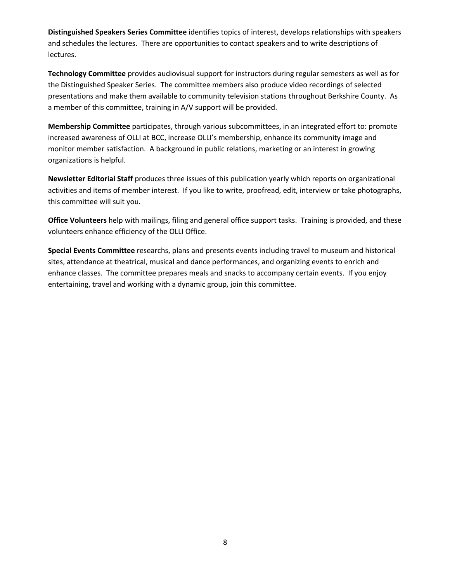**Distinguished Speakers Series Committee** identifies topics of interest, develops relationships with speakers and schedules the lectures. There are opportunities to contact speakers and to write descriptions of lectures.

**Technology Committee** provides audiovisual support for instructors during regular semesters as well as for the Distinguished Speaker Series. The committee members also produce video recordings of selected presentations and make them available to community television stations throughout Berkshire County. As a member of this committee, training in A/V support will be provided.

**Membership Committee** participates, through various subcommittees, in an integrated effort to: promote increased awareness of OLLI at BCC, increase OLLI's membership, enhance its community image and monitor member satisfaction. A background in public relations, marketing or an interest in growing organizations is helpful.

**Newsletter Editorial Staff** produces three issues of this publication yearly which reports on organizational activities and items of member interest. If you like to write, proofread, edit, interview or take photographs, this committee will suit you.

**Office Volunteers** help with mailings, filing and general office support tasks. Training is provided, and these volunteers enhance efficiency of the OLLI Office.

**Special Events Committee** researchs, plans and presents events including travel to museum and historical sites, attendance at theatrical, musical and dance performances, and organizing events to enrich and enhance classes. The committee prepares meals and snacks to accompany certain events. If you enjoy entertaining, travel and working with a dynamic group, join this committee.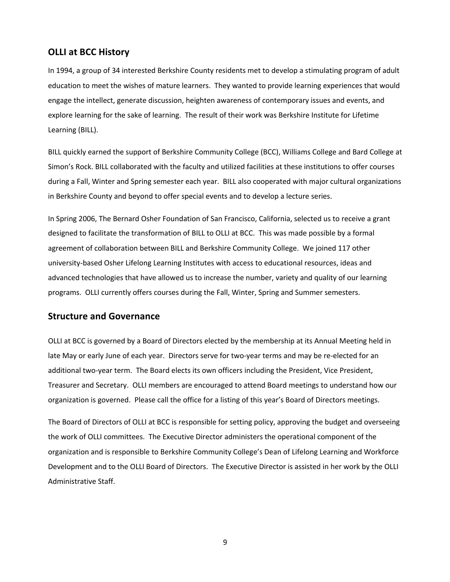## **OLLI at BCC History**

In 1994, a group of 34 interested Berkshire County residents met to develop a stimulating program of adult education to meet the wishes of mature learners. They wanted to provide learning experiences that would engage the intellect, generate discussion, heighten awareness of contemporary issues and events, and explore learning for the sake of learning. The result of their work was Berkshire Institute for Lifetime Learning (BILL).

BILL quickly earned the support of Berkshire Community College (BCC), Williams College and Bard College at Simon's Rock. BILL collaborated with the faculty and utilized facilities at these institutions to offer courses during a Fall, Winter and Spring semester each year. BILL also cooperated with major cultural organizations in Berkshire County and beyond to offer special events and to develop a lecture series.

In Spring 2006, The Bernard Osher Foundation of San Francisco, California, selected us to receive a grant designed to facilitate the transformation of BILL to OLLI at BCC. This was made possible by a formal agreement of collaboration between BILL and Berkshire Community College. We joined 117 other university-based Osher Lifelong Learning Institutes with access to educational resources, ideas and advanced technologies that have allowed us to increase the number, variety and quality of our learning programs. OLLI currently offers courses during the Fall, Winter, Spring and Summer semesters.

#### **Structure and Governance**

OLLI at BCC is governed by a Board of Directors elected by the membership at its Annual Meeting held in late May or early June of each year. Directors serve for two-year terms and may be re-elected for an additional two-year term. The Board elects its own officers including the President, Vice President, Treasurer and Secretary. OLLI members are encouraged to attend Board meetings to understand how our organization is governed. Please call the office for a listing of this year's Board of Directors meetings.

The Board of Directors of OLLI at BCC is responsible for setting policy, approving the budget and overseeing the work of OLLI committees. The Executive Director administers the operational component of the organization and is responsible to Berkshire Community College's Dean of Lifelong Learning and Workforce Development and to the OLLI Board of Directors. The Executive Director is assisted in her work by the OLLI Administrative Staff.

9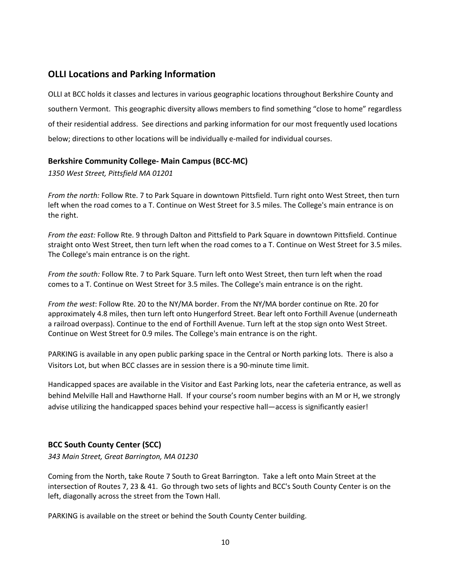# **OLLI Locations and Parking Information**

OLLI at BCC holds it classes and lectures in various geographic locations throughout Berkshire County and southern Vermont. This geographic diversity allows members to find something "close to home" regardless of their residential address. See directions and parking information for our most frequently used locations below; directions to other locations will be individually e-mailed for individual courses.

## **Berkshire Community College- Main Campus (BCC-MC)**

*1350 West Street, Pittsfield MA 01201*

*From the north:* Follow Rte. 7 to Park Square in downtown Pittsfield. Turn right onto West Street, then turn left when the road comes to a T. Continue on West Street for 3.5 miles. The College's main entrance is on the right.

*From the east:* Follow Rte. 9 through Dalton and Pittsfield to Park Square in downtown Pittsfield. Continue straight onto West Street, then turn left when the road comes to a T. Continue on West Street for 3.5 miles. The College's main entrance is on the right.

*From the south:* Follow Rte. 7 to Park Square. Turn left onto West Street, then turn left when the road comes to a T. Continue on West Street for 3.5 miles. The College's main entrance is on the right.

*From the west*: Follow Rte. 20 to the NY/MA border. From the NY/MA border continue on Rte. 20 for approximately 4.8 miles, then turn left onto Hungerford Street. Bear left onto Forthill Avenue (underneath a railroad overpass). Continue to the end of Forthill Avenue. Turn left at the stop sign onto West Street. Continue on West Street for 0.9 miles. The College's main entrance is on the right.

PARKING is available in any open public parking space in the Central or North parking lots. There is also a Visitors Lot, but when BCC classes are in session there is a 90-minute time limit.

Handicapped spaces are available in the Visitor and East Parking lots, near the cafeteria entrance, as well as behind Melville Hall and Hawthorne Hall. If your course's room number begins with an M or H, we strongly advise utilizing the handicapped spaces behind your respective hall—access is significantly easier!

# **BCC South County Center (SCC)**

*343 Main Street, Great Barrington, MA 01230*

Coming from the North, take Route 7 South to Great Barrington. Take a left onto Main Street at the intersection of Routes 7, 23 & 41. Go through two sets of lights and BCC's South County Center is on the left, diagonally across the street from the Town Hall.

PARKING is available on the street or behind the South County Center building.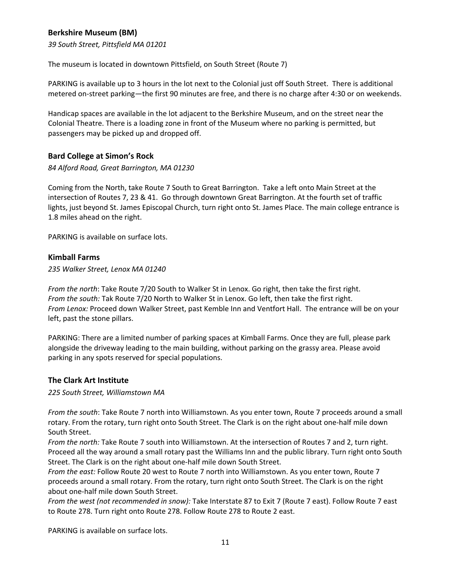# **Berkshire Museum (BM)**

*39 South Street, Pittsfield MA 01201*

The museum is located in downtown Pittsfield, on South Street (Route 7)

PARKING is available up to 3 hours in the lot next to the Colonial just off South Street. There is additional metered on-street parking—the first 90 minutes are free, and there is no charge after 4:30 or on weekends.

Handicap spaces are available in the lot adjacent to the Berkshire Museum, and on the street near the Colonial Theatre. There is a loading zone in front of the Museum where no parking is permitted, but passengers may be picked up and dropped off.

#### **Bard College at Simon's Rock**

*84 Alford Road, Great Barrington, MA 01230*

Coming from the North, take Route 7 South to Great Barrington. Take a left onto Main Street at the intersection of Routes 7, 23 & 41. Go through downtown Great Barrington. At the fourth set of traffic lights, just beyond St. James Episcopal Church, turn right onto St. James Place. The main college entrance is 1.8 miles ahead on the right.

PARKING is available on surface lots.

#### **Kimball Farms**

*235 Walker Street, Lenox MA 01240*

*From the north*: Take Route 7/20 South to Walker St in Lenox. Go right, then take the first right. *From the south:* Tak Route 7/20 North to Walker St in Lenox. Go left, then take the first right. *From Lenox:* Proceed down Walker Street, past Kemble Inn and Ventfort Hall. The entrance will be on your left, past the stone pillars.

PARKING: There are a limited number of parking spaces at Kimball Farms. Once they are full, please park alongside the driveway leading to the main building, without parking on the grassy area. Please avoid parking in any spots reserved for special populations.

#### **The Clark Art Institute**

*225 South Street, Williamstown MA* 

*From the south*: Take Route 7 north into Williamstown. As you enter town, Route 7 proceeds around a small rotary. From the rotary, turn right onto South Street. The Clark is on the right about one-half mile down South Street.

*From the north:* Take Route 7 south into Williamstown. At the intersection of Routes 7 and 2, turn right. Proceed all the way around a small rotary past the Williams Inn and the public library. Turn right onto South Street. The Clark is on the right about one-half mile down South Street.

*From the east:* Follow Route 20 west to Route 7 north into Williamstown. As you enter town, Route 7 proceeds around a small rotary. From the rotary, turn right onto South Street. The Clark is on the right about one-half mile down South Street.

*From the west (not recommended in snow):* Take Interstate 87 to Exit 7 (Route 7 east). Follow Route 7 east to Route 278. Turn right onto Route 278. Follow Route 278 to Route 2 east.

PARKING is available on surface lots.